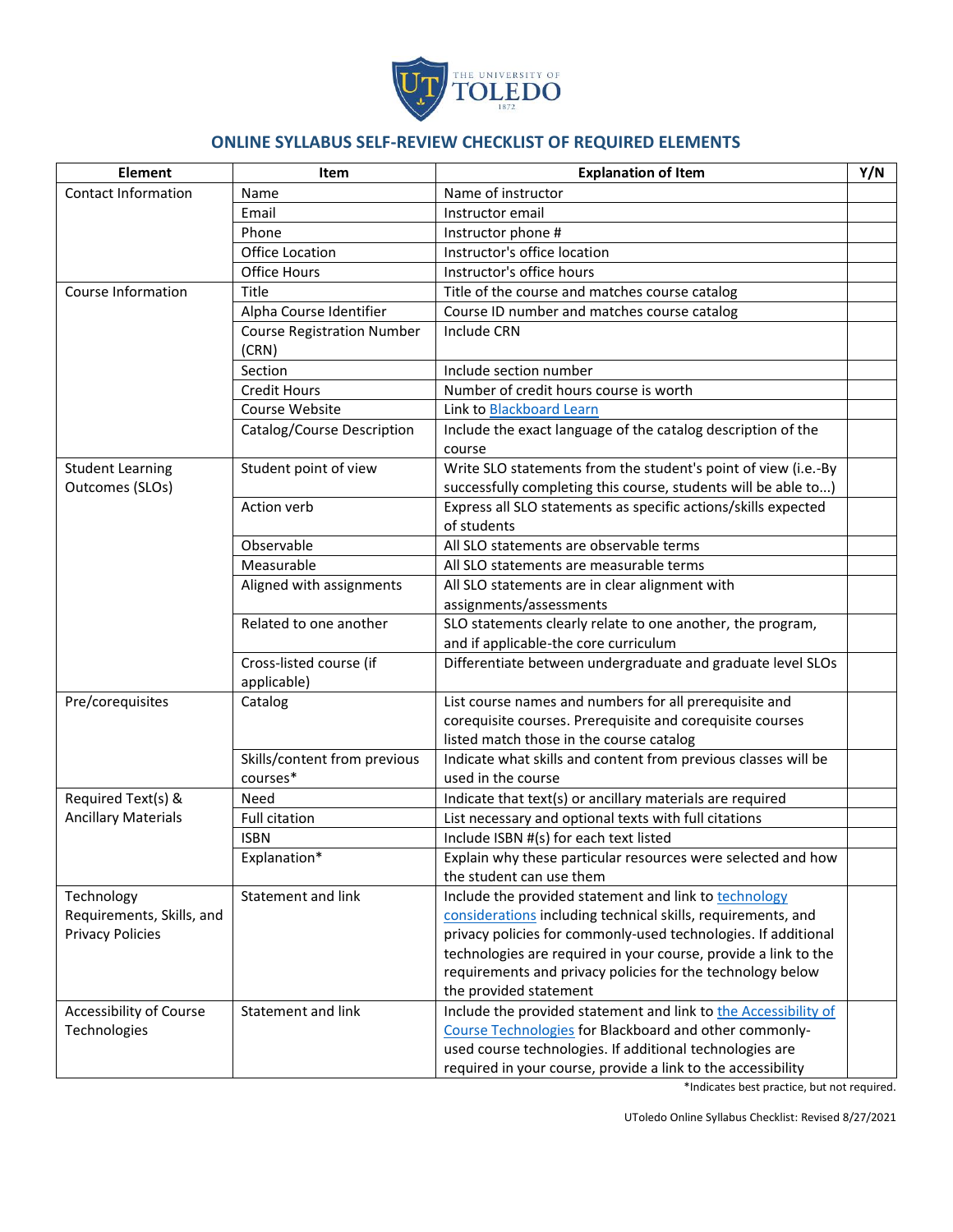

## **ONLINE SYLLABUS SELF-REVIEW CHECKLIST OF REQUIRED ELEMENTS**

| <b>Element</b>                             | Item                                       | <b>Explanation of Item</b>                                                                                                       | Y/N |
|--------------------------------------------|--------------------------------------------|----------------------------------------------------------------------------------------------------------------------------------|-----|
| <b>Contact Information</b>                 | Name                                       | Name of instructor                                                                                                               |     |
|                                            | Email                                      | Instructor email                                                                                                                 |     |
|                                            | Phone                                      | Instructor phone #                                                                                                               |     |
|                                            | Office Location                            | Instructor's office location                                                                                                     |     |
|                                            | <b>Office Hours</b>                        | Instructor's office hours                                                                                                        |     |
| Course Information                         | Title                                      | Title of the course and matches course catalog                                                                                   |     |
|                                            | Alpha Course Identifier                    | Course ID number and matches course catalog                                                                                      |     |
|                                            | <b>Course Registration Number</b><br>(CRN) | <b>Include CRN</b>                                                                                                               |     |
|                                            | Section                                    | Include section number                                                                                                           |     |
|                                            | <b>Credit Hours</b>                        | Number of credit hours course is worth                                                                                           |     |
|                                            | Course Website                             | Link to Blackboard Learn                                                                                                         |     |
|                                            | Catalog/Course Description                 | Include the exact language of the catalog description of the<br>course                                                           |     |
| <b>Student Learning</b><br>Outcomes (SLOs) | Student point of view                      | Write SLO statements from the student's point of view (i.e.-By<br>successfully completing this course, students will be able to) |     |
|                                            | Action verb                                | Express all SLO statements as specific actions/skills expected<br>of students                                                    |     |
|                                            | Observable                                 | All SLO statements are observable terms                                                                                          |     |
|                                            | Measurable                                 | All SLO statements are measurable terms                                                                                          |     |
|                                            | Aligned with assignments                   | All SLO statements are in clear alignment with                                                                                   |     |
|                                            |                                            | assignments/assessments                                                                                                          |     |
|                                            | Related to one another                     | SLO statements clearly relate to one another, the program,                                                                       |     |
|                                            |                                            | and if applicable-the core curriculum                                                                                            |     |
|                                            | Cross-listed course (if<br>applicable)     | Differentiate between undergraduate and graduate level SLOs                                                                      |     |
| Pre/corequisites                           | Catalog                                    | List course names and numbers for all prerequisite and<br>corequisite courses. Prerequisite and corequisite courses              |     |
|                                            |                                            | listed match those in the course catalog                                                                                         |     |
|                                            | Skills/content from previous               | Indicate what skills and content from previous classes will be                                                                   |     |
|                                            | courses*                                   | used in the course                                                                                                               |     |
| Required Text(s) &                         | Need                                       | Indicate that text(s) or ancillary materials are required                                                                        |     |
| <b>Ancillary Materials</b>                 | <b>Full citation</b>                       | List necessary and optional texts with full citations                                                                            |     |
|                                            | ISBN                                       | Include ISBN #(s) for each text listed                                                                                           |     |
|                                            | Explanation*                               | Explain why these particular resources were selected and how                                                                     |     |
|                                            |                                            | the student can use them                                                                                                         |     |
| Technology                                 | Statement and link                         | Include the provided statement and link to technology                                                                            |     |
| Requirements, Skills, and                  |                                            | considerations including technical skills, requirements, and                                                                     |     |
| <b>Privacy Policies</b>                    |                                            | privacy policies for commonly-used technologies. If additional                                                                   |     |
|                                            |                                            | technologies are required in your course, provide a link to the                                                                  |     |
|                                            |                                            | requirements and privacy policies for the technology below                                                                       |     |
|                                            |                                            | the provided statement                                                                                                           |     |
| Accessibility of Course<br>Technologies    | Statement and link                         | Include the provided statement and link to the Accessibility of                                                                  |     |
|                                            |                                            | Course Technologies for Blackboard and other commonly-                                                                           |     |
|                                            |                                            | used course technologies. If additional technologies are                                                                         |     |
|                                            |                                            | required in your course, provide a link to the accessibility                                                                     |     |

\*Indicates best practice, but not required.

UToledo Online Syllabus Checklist: Revised 8/27/2021